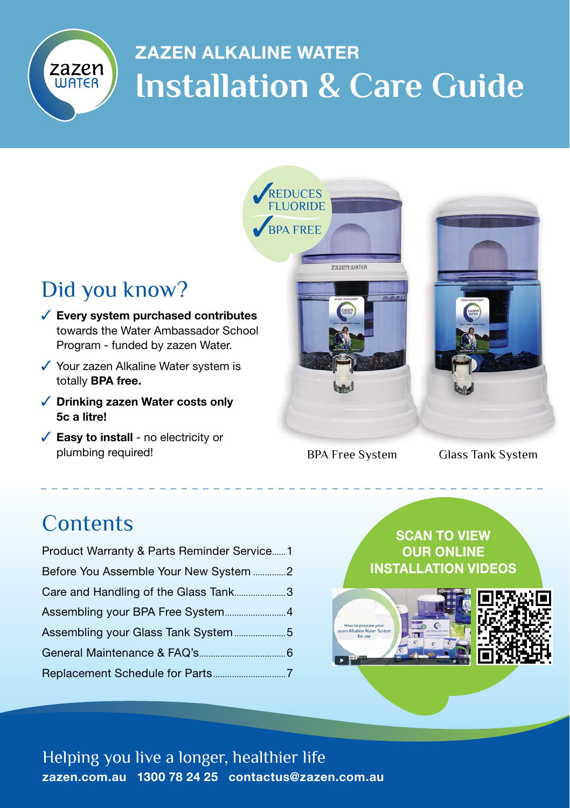

# ZAZEN ALKALINE WATER **Installation & Care Guide**



BPA Free System Glass Tank System

### **Contents**

| Product Warranty & Parts Reminder Service1 |  |
|--------------------------------------------|--|
| Before You Assemble Your New System 2      |  |
| Care and Handling of the Glass Tank3       |  |
|                                            |  |
|                                            |  |
|                                            |  |
|                                            |  |
|                                            |  |

SCAN TO VIEW OUR ONLINE INSTALLATION VIDEOS



Helping you live a longer, healthier life zazen.com.au 1300 78 24 25 contactus@zazen.com.au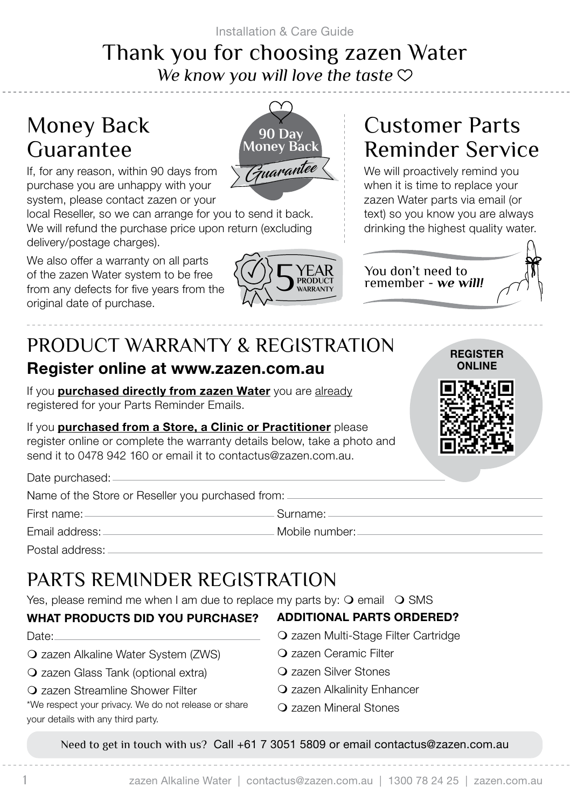Installation & Care Guide

### Thank you for choosing zazen Water *We know you will love the taste*

## Money Back Guarantee



If, for any reason, within 90 days from purchase you are unhappy with your system, please contact zazen or your

local Reseller, so we can arrange for you to send it back. We will refund the purchase price upon return (excluding delivery/postage charges).

We also offer a warranty on all parts of the zazen Water system to be free from any defects for five years from the original date of purchase.



# Customer Parts Reminder Service

We will proactively remind you when it is time to replace your zazen Water parts via email (or text) so you know you are always drinking the highest quality water.

> REGISTER ONLINE

You don't need to remember - *we will!* 



# PRODUCT WARRANTY & REGISTRATION

### Register online at www.zazen.com.au

If you **purchased directly from zazen Water** you are already registered for your Parts Reminder Emails.

If you purchased from a Store, a Clinic or Practitioner please register online or complete the warranty details below, take a photo and send it to 0478 942 160 or email it to contactus@zazen.com.au.

Date purchased:

Name of the Store or Reseller you purchased from:

First name: Surname:

Email address: Mobile number:

Postal address:

# PARTS REMINDER REGISTRATION

Yes, please remind me when I am due to replace my parts by:  $\bigcirc$  email  $\bigcirc$  SMS

#### WHAT PRODUCTS DID YOU PURCHASE?

- Date:
- zazen Alkaline Water System (ZWS)
- zazen Glass Tank (optional extra)
- zazen Streamline Shower Filter

\*We respect your privacy. We do not release or share your details with any third party.

- ADDITIONAL PARTS ORDERED?
- zazen Multi-Stage Filter Cartridge
- zazen Ceramic Filter
- zazen Silver Stones
- **Q** zazen Alkalinity Enhancer
- zazen Mineral Stones

Need to get in touch with us? Call +61 7 3051 5809 or email contactus@zazen.com.au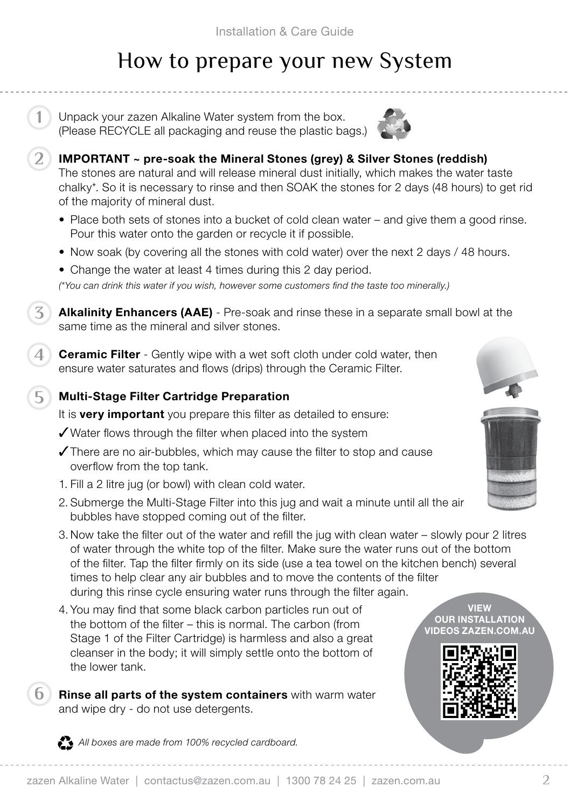# How to prepare your new System

Unpack your zazen Alkaline Water system from the box. (Please RECYCLE all packaging and reuse the plastic bags.) **1**

**2**

**3**

**5**

**6**



- IMPORTANT ~ pre-soak the Mineral Stones (grey) & Silver Stones (reddish) The stones are natural and will release mineral dust initially, which makes the water taste chalky\*. So it is necessary to rinse and then SOAK the stones for 2 days (48 hours) to get rid of the majority of mineral dust.
- Place both sets of stones into a bucket of cold clean water and give them a good rinse. Pour this water onto the garden or recycle it if possible.
- Now soak (by covering all the stones with cold water) over the next 2 days / 48 hours.
- Change the water at least 4 times during this 2 day period.

*(\*You can drink this water if you wish, however some customers find the taste too minerally.)*

**Alkalinity Enhancers (AAE)** - Pre-soak and rinse these in a separate small bowl at the same time as the mineral and silver stones.

**Ceramic Filter** - Gently wipe with a wet soft cloth under cold water, then ensure water saturates and flows (drips) through the Ceramic Filter. **4**

#### Multi-Stage Filter Cartridge Preparation

It is **very important** you prepare this filter as detailed to ensure:

- $\sqrt{\frac{1}{100}}$  Water flows through the filter when placed into the system
- $\sqrt{\ }$ There are no air-bubbles, which may cause the filter to stop and cause overflow from the top tank.
- 1. Fill a 2 litre jug (or bowl) with clean cold water.
- 2. Submerge the Multi-Stage Filter into this jug and wait a minute until all the air bubbles have stopped coming out of the filter.
- 3. Now take the filter out of the water and refill the jug with clean water slowly pour 2 litres of water through the white top of the filter. Make sure the water runs out of the bottom of the filter. Tap the filter firmly on its side (use a tea towel on the kitchen bench) several times to help clear any air bubbles and to move the contents of the filter during this rinse cycle ensuring water runs through the filter again.
- 4. You may find that some black carbon particles run out of the bottom of the filter – this is normal. The carbon (from Stage 1 of the Filter Cartridge) is harmless and also a great cleanser in the body; it will simply settle onto the bottom of the lower tank.
- Rinse all parts of the system containers with warm water and wipe dry - do not use detergents.

VIEW **OUR INSTALLATION** VIDEOS ZAZEN.COM.AU



All boxes are made from 100% recycled cardboard.



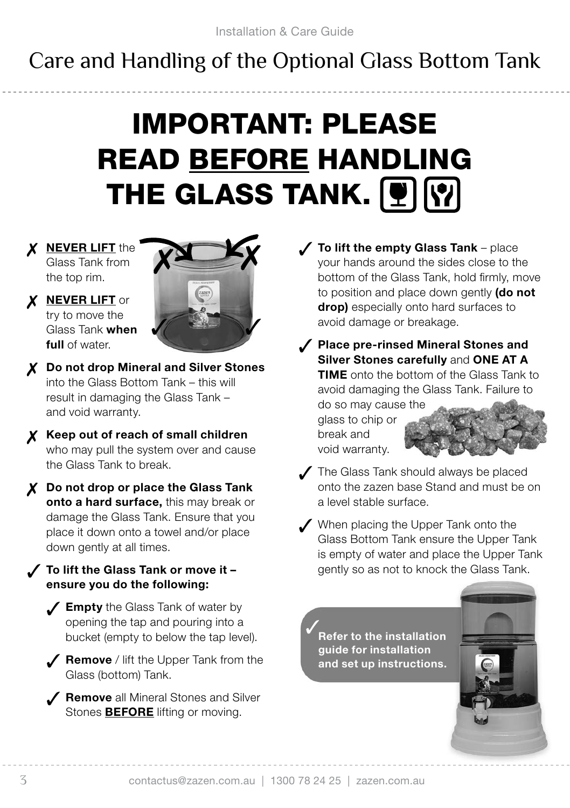# Care and Handling of the Optional Glass Bottom Tank

# IMPORTANT: PLEASE READ BEFORE HANDLING **THE GLASS TANK.** PIN

X NEVER LIFT the Glass Tank from the top rim.

X **NEVER LIFT** or try to move the Glass Tank when full of water



- 7 Do not drop Mineral and Silver Stones into the Glass Bottom Tank – this will result in damaging the Glass Tank – and void warranty.
- X Keep out of reach of small children who may pull the system over and cause the Glass Tank to break.
- X Do not drop or place the Glass Tank onto a hard surface, this may break or damage the Glass Tank. Ensure that you place it down onto a towel and/or place down gently at all times.

#### $\check{ }$  To lift the Glass Tank or move it – ensure you do the following:

- $\sqrt{\frac{2}{\pi}}$  Empty the Glass Tank of water by opening the tap and pouring into a bucket (empty to below the tap level).
- $\sqrt{\phantom{a}}$  Remove / lift the Upper Tank from the Glass (bottom) Tank.
- Surfall Mineral Stones and Silver Stones **BEFORE** lifting or moving.
- To lift the empty Glass Tank place your hands around the sides close to the bottom of the Glass Tank, hold firmly, move to position and place down gently **(do not** drop) especially onto hard surfaces to avoid damage or breakage.
- Sollet Place pre-rinsed Mineral Stones and Silver Stones carefully and ONE AT A **TIME** onto the bottom of the Glass Tank to avoid damaging the Glass Tank. Failure to do so may cause the

glass to chip or break and void warranty.



- $\angle$  The Glass Tank should always be placed onto the zazen base Stand and must be on a level stable surface.
- **/** When placing the Upper Tank onto the Glass Bottom Tank ensure the Upper Tank is empty of water and place the Upper Tank gently so as not to knock the Glass Tank.

Refer to the installation guide for installation and set up instructions.  $\checkmark$ 

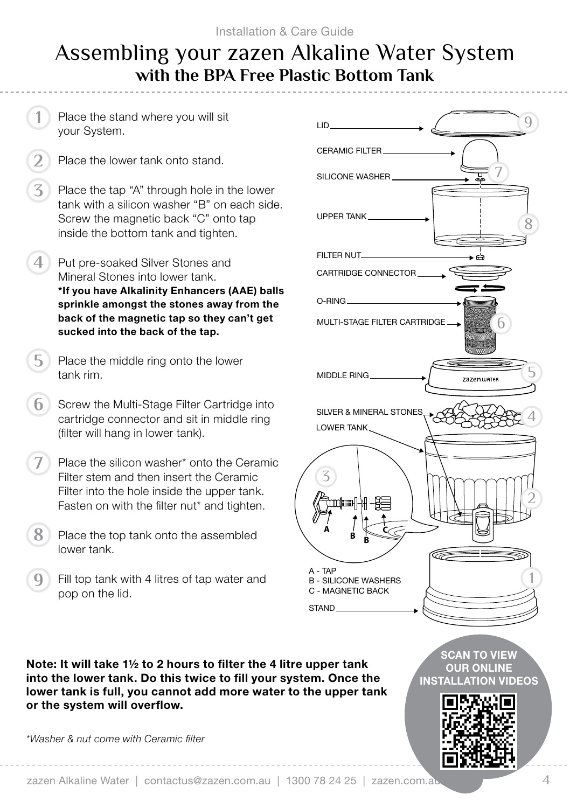### Assembling your zazen Alkaline Water System **with the BPA Free Plastic Bottom Tank**

Place the stand where you will sit your System.

**1**

- Place the lower tank onto stand. **2**
- Place the tap "A" through hole in the lower tank with a silicon washer "B" on each side. Screw the magnetic back "C" onto tap inside the bottom tank and tighten. **3**
- Put pre-soaked Silver Stones and Mineral Stones into lower tank. \*If you have Alkalinity Enhancers (AAE) balls sprinkle amongst the stones away from the back of the magnetic tap so they can't get sucked into the back of the tap. **4**
- Place the middle ring onto the lower tank rim. **5**
- Screw the Multi-Stage Filter Cartridge into cartridge connector and sit in middle ring (filter will hang in lower tank). **6**
- Place the silicon washer\* onto the Ceramic Filter stem and then insert the Ceramic Filter into the hole inside the upper tank. Fasten on with the filter nut\* and tighten. **7**
- Place the top tank onto the assembled lower tank. **8**
- Fill top tank with 4 litres of tap water and pop on the lid. **9**



Note: It will take 1½ to 2 hours to filter the 4 litre upper tank into the lower tank. Do this twice to fill your system. Once the lower tank is full, you cannot add more water to the upper tank or the system will overflow.

*\*Washer & nut come with Ceramic filter*

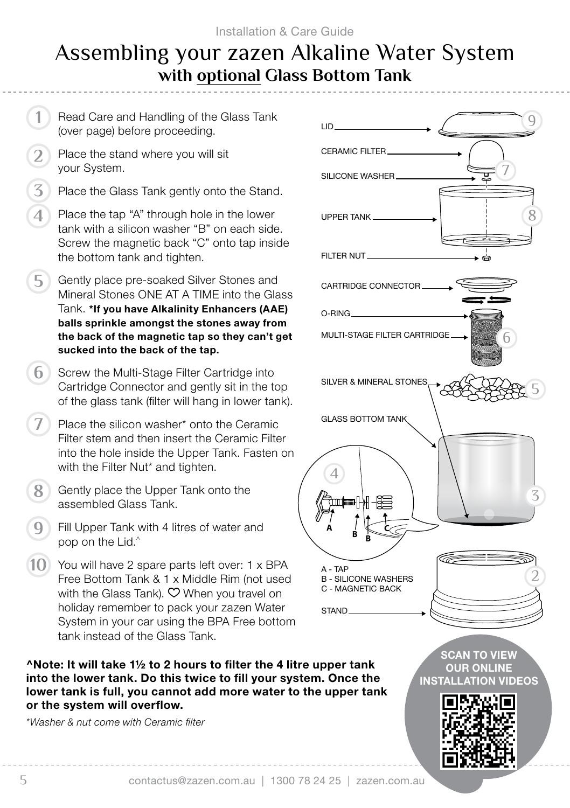### Assembling your zazen Alkaline Water System **with optional Glass Bottom Tank**

Read Care and Handling of the Glass Tank (over page) before proceeding. Place the stand where you will sit your System. Place the Glass Tank gently onto the Stand. Place the tap "A" through hole in the lower tank with a silicon washer "B" on each side. Screw the magnetic back "C" onto tap inside the bottom tank and tighten. Gently place pre-soaked Silver Stones and Mineral Stones ONE AT A TIME into the Glass Tank. \*If you have Alkalinity Enhancers (AAE) balls sprinkle amongst the stones away from the back of the magnetic tap so they can't get sucked into the back of the tap. **6** Screw the Multi-Stage Filter Cartridge into Cartridge Connector and gently sit in the top of the glass tank (filter will hang in lower tank). Place the silicon washer\* onto the Ceramic Filter stem and then insert the Ceramic Filter into the hole inside the Upper Tank. Fasten on with the Filter Nut<sup>\*</sup> and tighten. Gently place the Upper Tank onto the assembled Glass Tank. Fill Upper Tank with 4 litres of water and pop on the Lid. $\hat{ }$ 10 You will have 2 spare parts left over: 1 x BPA Free Bottom Tank & 1 x Middle Rim (not used with the Glass Tank).  $\heartsuit$  When you travel on holiday remember to pack your zazen Water System in your car using the BPA Free bottom tank instead of the Glass Tank. ^Note: It will take 1½ to 2 hours to filter the 4 litre upper tank into the lower tank. Do this twice to fill your system. Once the lower tank is full, you cannot add more water to the upper tank or the system will overflow. *\*Washer & nut come with Ceramic filter* LID **1 2 3 4 5 7 8 9**

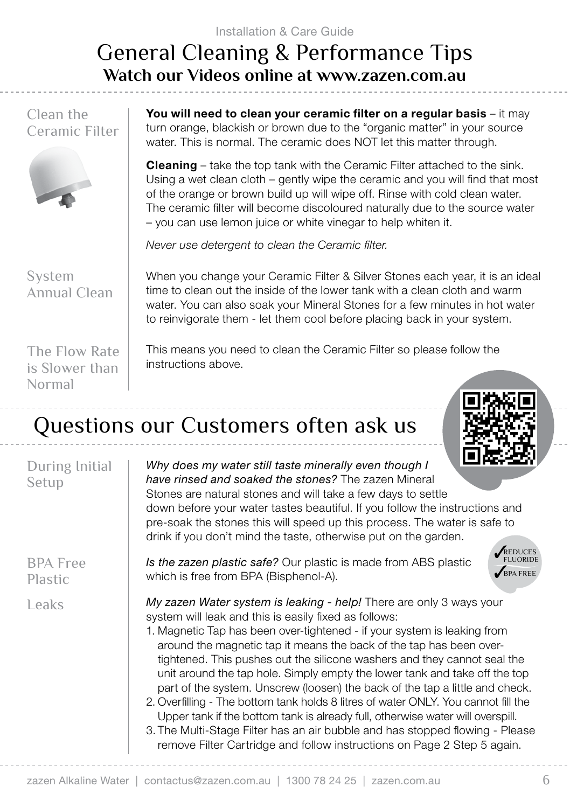# General Cleaning & Performance Tips **Watch our Videos online at www.zazen.com.au**

Clean the Ceramic Filter



You will need to clean your ceramic filter on a regular basis – it may turn orange, blackish or brown due to the "organic matter" in your source water. This is normal. The ceramic does NOT let this matter through.

**Cleaning** – take the top tank with the Ceramic Filter attached to the sink. Using a wet clean cloth – gently wipe the ceramic and you will find that most of the orange or brown build up will wipe off. Rinse with cold clean water. The ceramic filter will become discoloured naturally due to the source water – you can use lemon juice or white vinegar to help whiten it.

*Never use detergent to clean the Ceramic filter.*

System Annual Clean When you change your Ceramic Filter & Silver Stones each year, it is an ideal time to clean out the inside of the lower tank with a clean cloth and warm water. You can also soak your Mineral Stones for a few minutes in hot water to reinvigorate them - let them cool before placing back in your system.

The Flow Rate is Slower than Normal

This means you need to clean the Ceramic Filter so please follow the instructions above.

# Questions our Customers often ask us



| During Initial<br>Setup           | -------<br>Why does my water still taste minerally even though I<br>have rinsed and soaked the stones? The zazen Mineral<br>Stones are natural stones and will take a few days to settle<br>down before your water tastes beautiful. If you follow the instructions and<br>pre-soak the stones this will speed up this process. The water is safe to<br>drink if you don't mind the taste, otherwise put on the garden.                                                                                                                                                                                                                                                                                                                                                                                                                                      |
|-----------------------------------|--------------------------------------------------------------------------------------------------------------------------------------------------------------------------------------------------------------------------------------------------------------------------------------------------------------------------------------------------------------------------------------------------------------------------------------------------------------------------------------------------------------------------------------------------------------------------------------------------------------------------------------------------------------------------------------------------------------------------------------------------------------------------------------------------------------------------------------------------------------|
| <b>BPA</b> Free<br><b>Plastic</b> | <b>ELUORIDE</b><br>Is the zazen plastic safe? Our plastic is made from ABS plastic<br>BPA FREE<br>which is free from BPA (Bisphenol-A).                                                                                                                                                                                                                                                                                                                                                                                                                                                                                                                                                                                                                                                                                                                      |
| Leaks                             | My zazen Water system is leaking - help! There are only 3 ways your<br>system will leak and this is easily fixed as follows:<br>1. Magnetic Tap has been over-tightened - if your system is leaking from<br>around the magnetic tap it means the back of the tap has been over-<br>tightened. This pushes out the silicone washers and they cannot seal the<br>unit around the tap hole. Simply empty the lower tank and take off the top<br>part of the system. Unscrew (loosen) the back of the tap a little and check.<br>2. Overfilling - The bottom tank holds 8 litres of water ONLY. You cannot fill the<br>Upper tank if the bottom tank is already full, otherwise water will overspill.<br>3. The Multi-Stage Filter has an air bubble and has stopped flowing - Please<br>remove Filter Cartridge and follow instructions on Page 2 Step 5 again. |